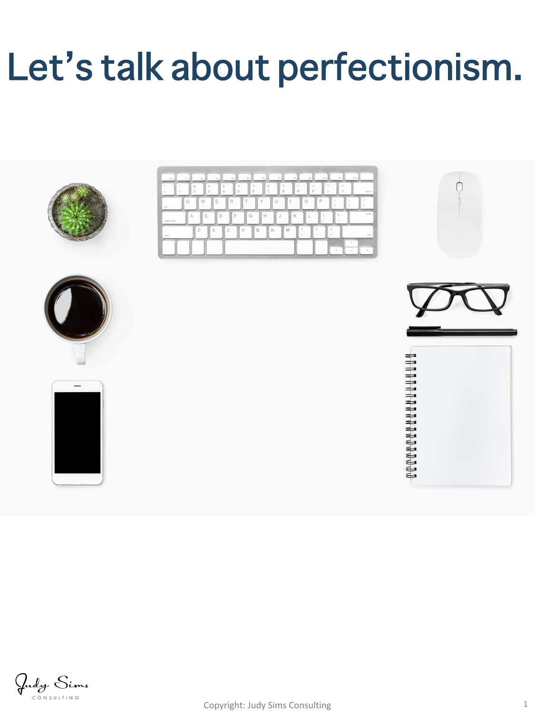# Let's talk about perfectionism.



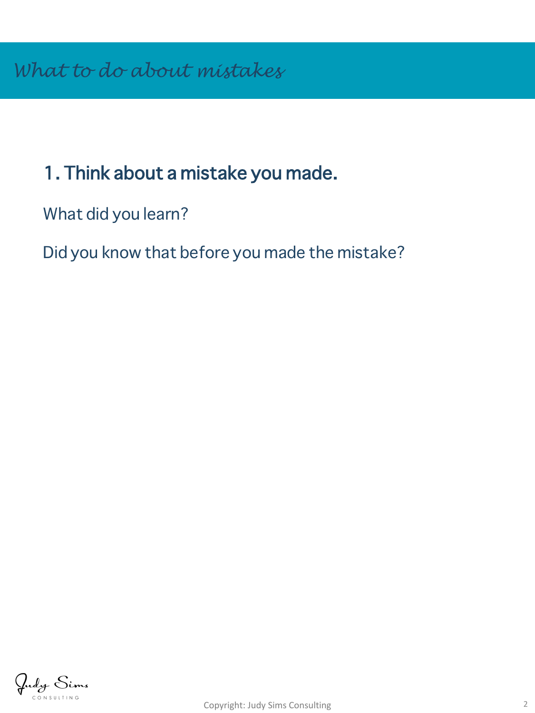### 1. Think about a mistake you made.

What did you learn?

Did you know that before you made the mistake?

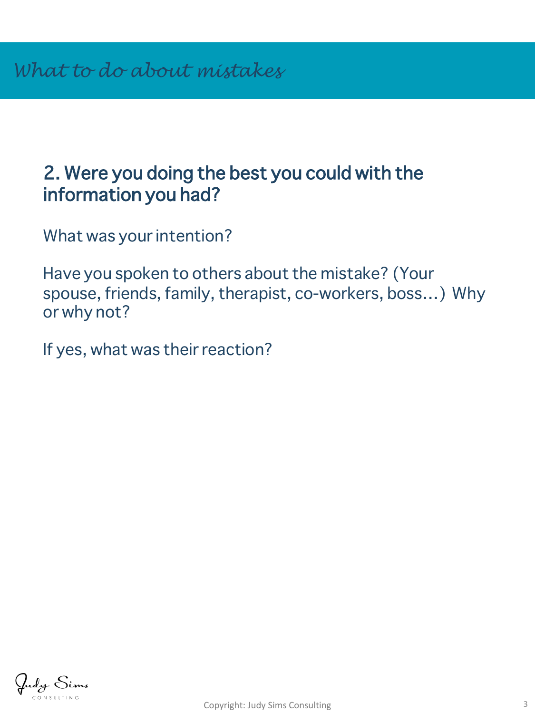#### 2. Were you doing the best you could with the information you had?

What was your intention?

Have you spoken to others about the mistake? (Your spouse, friends, family, therapist, co-workers, boss…) Why or why not?

If yes, what was their reaction?

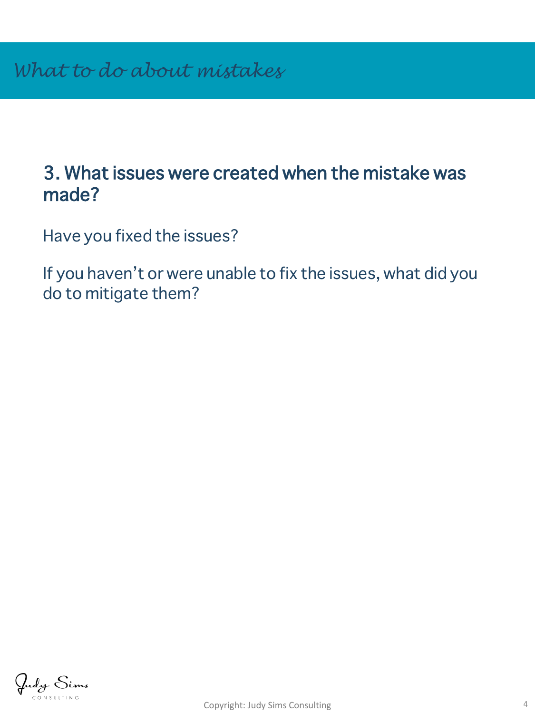#### 3. What issues were created when the mistake was made?

Have you fixed the issues?

If you haven't or were unable to fix the issues, what did you do to mitigate them?

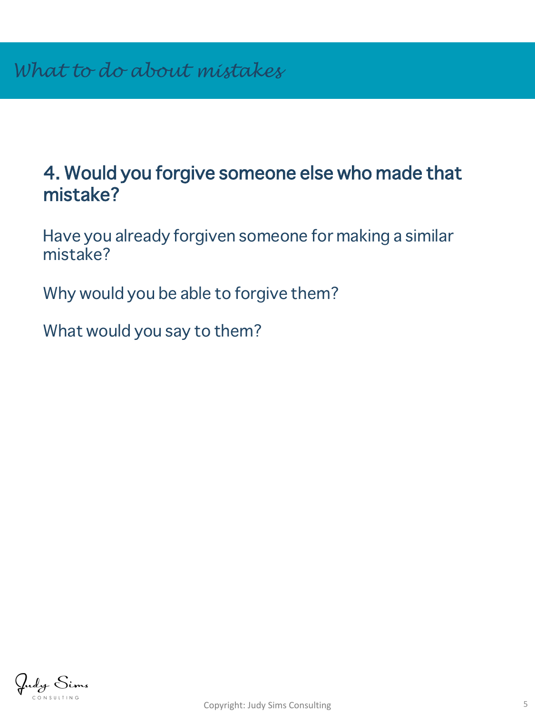#### 4. Would you forgive someone else who made that mistake?

Have you already forgiven someone for making a similar mistake?

Why would you be able to forgive them?

What would you say to them?